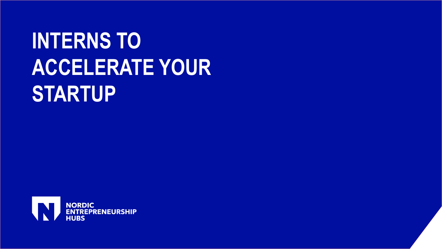## **INTERNS TO ACCELERATE YOUR STARTUP**

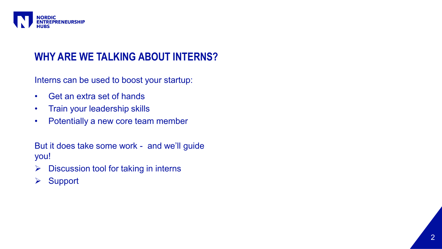

#### **WHY ARE WE TALKING ABOUT INTERNS?**

Interns can be used to boost your startup:

- Get an extra set of hands
- Train your leadership skills
- Potentially a new core team member

But it does take some work - and we'll guide you!

- $\triangleright$  Discussion tool for taking in interns
- ➢ Support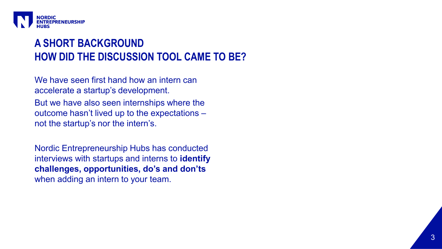

### **HOW DID THE DISCUSSION TOOL CAME TO BE? A SHORT BACKGROUND**

We have seen first hand how an intern can accelerate a startup's development. But we have also seen internships where the outcome hasn't lived up to the expectations – not the startup's nor the intern's.

Nordic Entrepreneurship Hubs has conducted interviews with startups and interns to **identify challenges, opportunities, do's and don'ts**  when adding an intern to your team.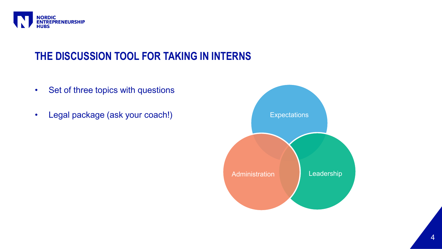

### **THE DISCUSSION TOOL FOR TAKING IN INTERNS**

- Set of three topics with questions
- Legal package (ask your coach!) The expectations of the expectations

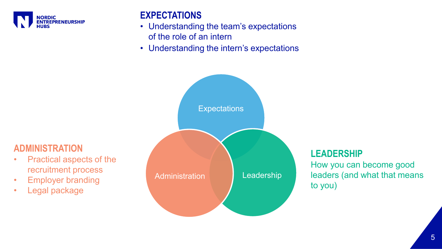

#### **EXPECTATIONS**

- Understanding the team's expectations of the role of an intern
- Understanding the intern's expectations



#### **ADMINISTRATION**

- Practical aspects of the recruitment process
- Employer branding
- Legal package

#### **LEADERSHIP**

How you can become good leaders (and what that means to you)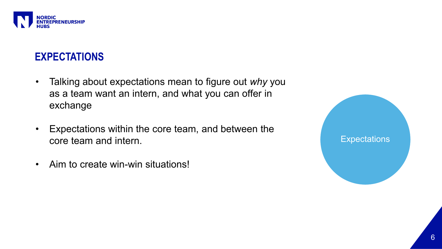

#### **EXPECTATIONS**

- Talking about expectations mean to figure out *why* you as a team want an intern, and what you can offer in exchange
- Expectations within the core team, and between the core team and intern.
- Aim to create win-win situations!

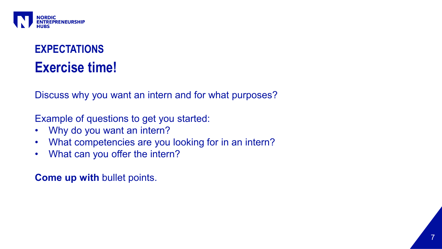

## **EXPECTATIONS Exercise time!**

Discuss why you want an intern and for what purposes?

Example of questions to get you started:

- Why do you want an intern?
- What competencies are you looking for in an intern?
- What can you offer the intern?

**Come up with** bullet points.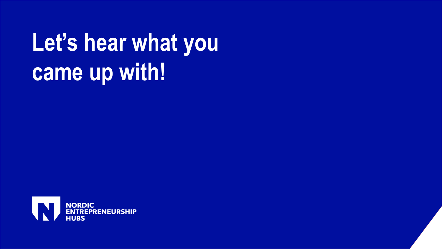# **Let's hear what you came up with!**

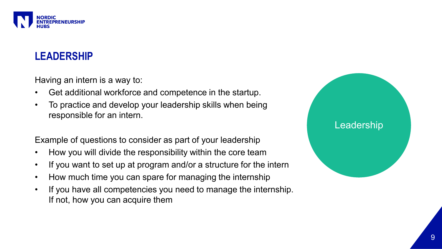

### **LEADERSHIP**

Having an intern is a way to:

- Get additional workforce and competence in the startup.
- To practice and develop your leadership skills when being responsible for an intern.

Example of questions to consider as part of your leadership

- How you will divide the responsibility within the core team
- If you want to set up at program and/or a structure for the intern
- How much time you can spare for managing the internship
- If you have all competencies you need to manage the internship. If not, how you can acquire them

#### Leadership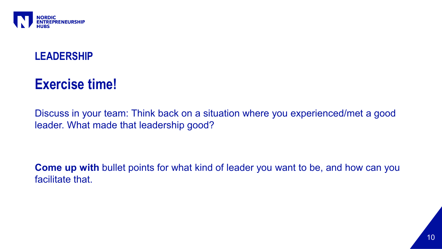

### **LEADERSHIP**

## **Exercise time!**

Discuss in your team: Think back on a situation where you experienced/met a good leader. What made that leadership good?

**Come up with** bullet points for what kind of leader you want to be, and how can you facilitate that.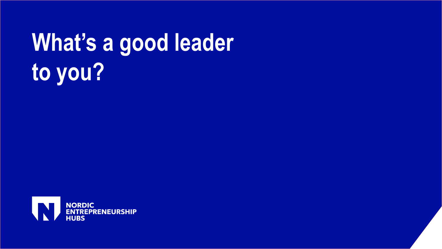# **What's a good leader to you?**

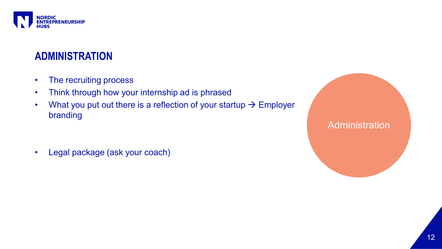

#### **ADMINISTRATION**

- The recruiting process
- Think through how your internship ad is phrased
- What you put out there is a reflection of your startup  $\rightarrow$  Employer branding

• Legal package (ask your coach)

**Administration**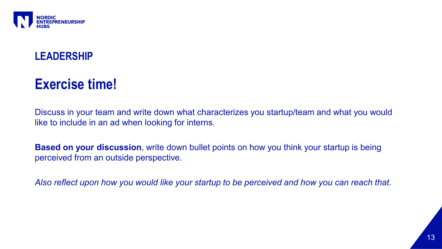

### **LEADERSHIP**

## **Exercise time!**

Discuss in your team and write down what characterizes you startup/team and what you would like to include in an ad when looking for interns.

**Based on your discussion**, write down bullet points on how you think your startup is being perceived from an outside perspective.

*Also reflect upon how you would like your startup to be perceived and how you can reach that.*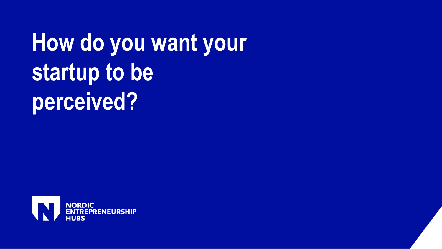# **How do you want your startup to be perceived?**